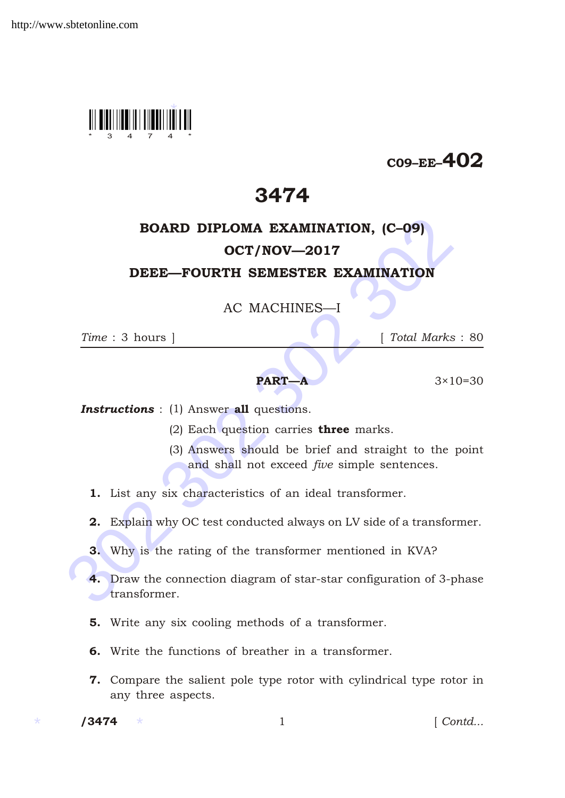

## $C09$ –EE–402

## 3474

# BOARD DIPLOMA EXAMINATION, (C–09)

### OCT/NOV—2017

#### DEEE—FOURTH SEMESTER EXAMINATION

AC MACHINES—I

*Time* : 3 hours ] [ *Total Marks* : 80

#### **PART—A**  $3 \times 10 = 30$

**Instructions** : (1) Answer all questions.

- (2) Each question carries three marks.
- (3) Answers should be brief and straight to the point and shall not exceed *five* simple sentences.
- 1. List any six characteristics of an ideal transformer.
- 2. Explain why OC test conducted always on LV side of a transformer.
- 3. Why is the rating of the transformer mentioned in KVA?
- **BOARD DIPLOMA EXAMINATION, (C-09)**<br> **OCT/NOV—2017**<br> **DEEE—FOURTH SEMESTER EXAMINATION**<br>
AC MACHINES—I<br>  $Time: 3 \text{ hours }$ <br>  $Time: 3 \text{ hours }$ <br> **PART—A** 3×10=<br> **Instructions** : (1) Answer all questions.<br>
(2) Each question carries three 4. Draw the connection diagram of star-star configuration of 3-phase transformer.
	- 5. Write any six cooling methods of a transformer.
	- 6. Write the functions of breather in a transformer.
	- 7. Compare the salient pole type rotor with cylindrical type rotor in any three aspects.

 $/ 3474$ 

1 *Contd...*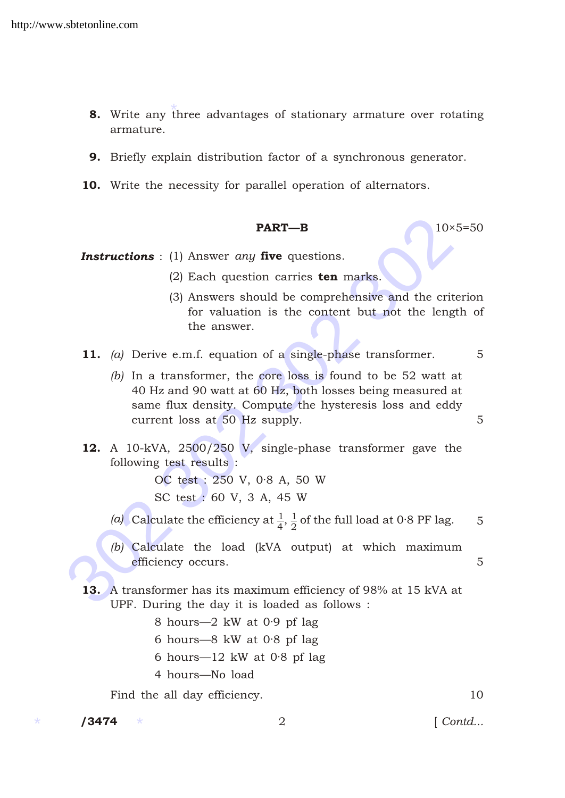- \* 8. Write any three advantages of stationary armature over rotating armature.
- 9. Briefly explain distribution factor of a synchronous generator.
- 10. Write the necessity for parallel operation of alternators.

#### **PART—B** 10×5=50

**Instructions** : (1) Answer *any* five questions.

- (2) Each question carries  $ten$  marks.
- (3) Answers should be comprehensive and the criterion for valuation is the content but not the length of the answer.
- 11. *(a)* Derive e.m.f. equation of a single-phase transformer. 5
- **PART—B**<br>
10×5=<br> **Instructions** : (1) Answer *any* five questions.<br>
(2) Each question carries **ten** marks.<br>
(3) Answers should be comprehensive and the criter<br>
for valuation is the content but not the length<br>
the answer.<br> *(b)* In a transformer, the core loss is found to be 52 watt at 40 Hz and 90 watt at 60 Hz, both losses being measured at same flux density. Compute the hysteresis loss and eddy current loss at 50 Hz supply. 5
	- 12. A 10-kVA, 2500/250 V, single-phase transformer gave the following test results :

OC test : 250 V, 0·8 A, 50 W SC test : 60 V, 3 A, 45 W

- (*a*) Calculate the efficiency at  $\frac{1}{4}$ ,  $\frac{1}{2}$  $\frac{1}{2}$  of the full load at 0·8 PF lag. 5
- *(b)* Calculate the load (kVA output) at which maximum efficiency occurs. 5
- 13. A transformer has its maximum efficiency of 98% at 15 kVA at UPF. During the day it is loaded as follows :
	- 8 hours—2 kW at 0·9 pf lag
	- 6 hours—8 kW at 0·8 pf lag
	- 6 hours—12 kW at 0·8 pf lag
	- 4 hours—No load

Find the all day efficiency. 10

 $/ 3474$ 

/3474 2 [ *Contd...*